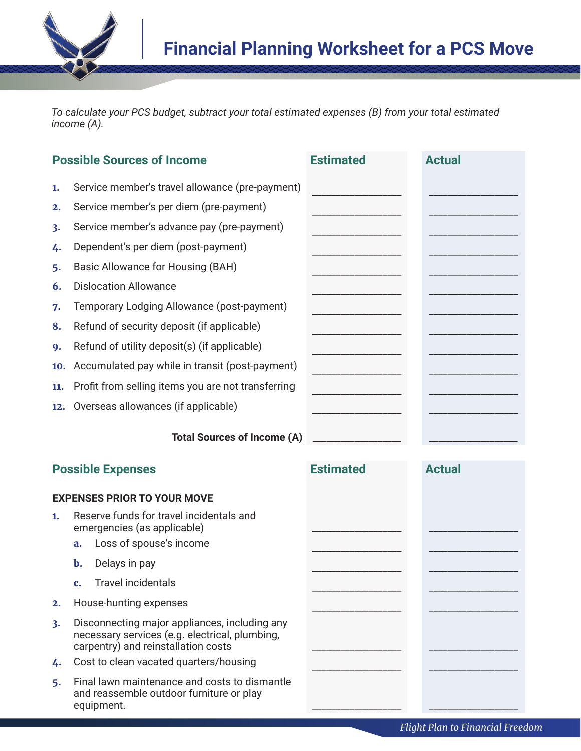

*To calculate your PCS budget, subtract your total estimated expenses (B) from your total estimated income (A).*

| <b>Possible Sources of Income</b>  |                                                                                                                                        | <b>Estimated</b> | <b>Actual</b> |
|------------------------------------|----------------------------------------------------------------------------------------------------------------------------------------|------------------|---------------|
| 1.                                 | Service member's travel allowance (pre-payment)                                                                                        |                  |               |
| 2.                                 | Service member's per diem (pre-payment)                                                                                                |                  |               |
| 3.                                 | Service member's advance pay (pre-payment)                                                                                             |                  |               |
| 4.                                 | Dependent's per diem (post-payment)                                                                                                    |                  |               |
| 5.                                 | Basic Allowance for Housing (BAH)                                                                                                      |                  |               |
| 6.                                 | <b>Dislocation Allowance</b>                                                                                                           |                  |               |
| 7.                                 | Temporary Lodging Allowance (post-payment)                                                                                             |                  |               |
| 8.                                 | Refund of security deposit (if applicable)                                                                                             |                  |               |
| 9.                                 | Refund of utility deposit(s) (if applicable)                                                                                           |                  |               |
| 10.                                | Accumulated pay while in transit (post-payment)                                                                                        |                  |               |
| 11.                                | Profit from selling items you are not transferring                                                                                     |                  |               |
| 12.                                | Overseas allowances (if applicable)                                                                                                    |                  |               |
|                                    | <b>Total Sources of Income (A)</b>                                                                                                     |                  |               |
| <b>Possible Expenses</b>           |                                                                                                                                        | <b>Estimated</b> | <b>Actual</b> |
| <b>EXPENSES PRIOR TO YOUR MOVE</b> |                                                                                                                                        |                  |               |
| 1.                                 | Reserve funds for travel incidentals and<br>emergencies (as applicable)                                                                |                  |               |
|                                    | Loss of spouse's income<br>a.                                                                                                          |                  |               |
|                                    | Delays in pay<br>b.                                                                                                                    |                  |               |
|                                    | <b>Travel incidentals</b><br>$\mathbf{c}$ .                                                                                            |                  |               |
| 2.                                 | House-hunting expenses                                                                                                                 |                  |               |
| 3.                                 | Disconnecting major appliances, including any<br>necessary services (e.g. electrical, plumbing,<br>carpentry) and reinstallation costs |                  |               |
| 4.                                 | Cost to clean vacated quarters/housing                                                                                                 |                  |               |
| 5.                                 | Final lawn maintenance and costs to dismantle<br>and reassemble outdoor furniture or play<br>equipment.                                |                  |               |